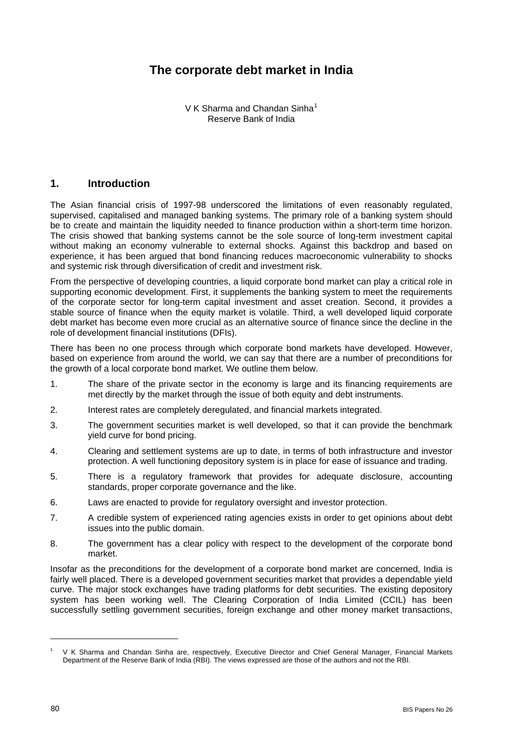# **The corporate debt market in India**

V K Sharma and Chandan Sinha $<sup>1</sup>$  $<sup>1</sup>$  $<sup>1</sup>$ </sup> Reserve Bank of India

### **1. Introduction**

The Asian financial crisis of 1997-98 underscored the limitations of even reasonably regulated, supervised, capitalised and managed banking systems. The primary role of a banking system should be to create and maintain the liquidity needed to finance production within a short-term time horizon. The crisis showed that banking systems cannot be the sole source of long-term investment capital without making an economy vulnerable to external shocks. Against this backdrop and based on experience, it has been argued that bond financing reduces macroeconomic vulnerability to shocks and systemic risk through diversification of credit and investment risk.

From the perspective of developing countries, a liquid corporate bond market can play a critical role in supporting economic development. First, it supplements the banking system to meet the requirements of the corporate sector for long-term capital investment and asset creation. Second, it provides a stable source of finance when the equity market is volatile. Third, a well developed liquid corporate debt market has become even more crucial as an alternative source of finance since the decline in the role of development financial institutions (DFIs).

There has been no one process through which corporate bond markets have developed. However, based on experience from around the world, we can say that there are a number of preconditions for the growth of a local corporate bond market. We outline them below.

- 1. The share of the private sector in the economy is large and its financing requirements are met directly by the market through the issue of both equity and debt instruments.
- 2. Interest rates are completely deregulated, and financial markets integrated.
- 3. The government securities market is well developed, so that it can provide the benchmark yield curve for bond pricing.
- 4. Clearing and settlement systems are up to date, in terms of both infrastructure and investor protection. A well functioning depository system is in place for ease of issuance and trading.
- 5. There is a regulatory framework that provides for adequate disclosure, accounting standards, proper corporate governance and the like.
- 6. Laws are enacted to provide for regulatory oversight and investor protection.
- 7. A credible system of experienced rating agencies exists in order to get opinions about debt issues into the public domain.
- 8. The government has a clear policy with respect to the development of the corporate bond market.

Insofar as the preconditions for the development of a corporate bond market are concerned, India is fairly well placed. There is a developed government securities market that provides a dependable yield curve. The major stock exchanges have trading platforms for debt securities. The existing depository system has been working well. The Clearing Corporation of India Limited (CCIL) has been successfully settling government securities, foreign exchange and other money market transactions,

l

<span id="page-0-0"></span><sup>1</sup> V K Sharma and Chandan Sinha are, respectively, Executive Director and Chief General Manager, Financial Markets Department of the Reserve Bank of India (RBI). The views expressed are those of the authors and not the RBI.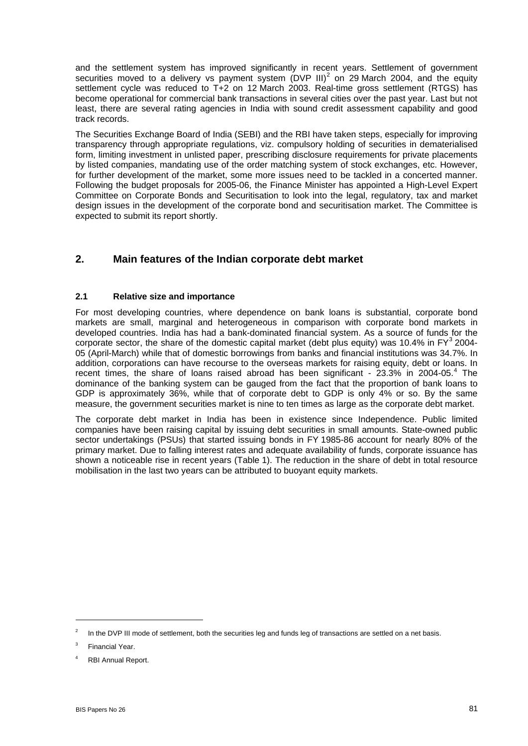and the settlement system has improved significantly in recent years. Settlement of government securities moved to a delivery vs payment system  $(DVP III)^2$  $(DVP III)^2$  on 29 March 2004, and the equity settlement cycle was reduced to T+2 on 12 March 2003. Real-time gross settlement (RTGS) has become operational for commercial bank transactions in several cities over the past year. Last but not least, there are several rating agencies in India with sound credit assessment capability and good track records.

The Securities Exchange Board of India (SEBI) and the RBI have taken steps, especially for improving transparency through appropriate regulations, viz. compulsory holding of securities in dematerialised form, limiting investment in unlisted paper, prescribing disclosure requirements for private placements by listed companies, mandating use of the order matching system of stock exchanges, etc. However, for further development of the market, some more issues need to be tackled in a concerted manner. Following the budget proposals for 2005-06, the Finance Minister has appointed a High-Level Expert Committee on Corporate Bonds and Securitisation to look into the legal, regulatory, tax and market design issues in the development of the corporate bond and securitisation market. The Committee is expected to submit its report shortly.

## **2. Main features of the Indian corporate debt market**

#### **2.1 Relative size and importance**

For most developing countries, where dependence on bank loans is substantial, corporate bond markets are small, marginal and heterogeneous in comparison with corporate bond markets in developed countries. India has had a bank-dominated financial system. As a source of funds for the corporate sector, the share of the domestic capital market (debt plus equity) was 10.4% in FY<sup>[3](#page-1-1)</sup> 2004-05 (April-March) while that of domestic borrowings from banks and financial institutions was 34.7%. In addition, corporations can have recourse to the overseas markets for raising equity, debt or loans. In recent times, the share of loans raised abroad has been significant -  $23.3\%$  in 200[4](#page-1-2)-05.<sup>4</sup> The dominance of the banking system can be gauged from the fact that the proportion of bank loans to GDP is approximately 36%, while that of corporate debt to GDP is only 4% or so. By the same measure, the government securities market is nine to ten times as large as the corporate debt market.

The corporate debt market in India has been in existence since Independence. Public limited companies have been raising capital by issuing debt securities in small amounts. State-owned public sector undertakings (PSUs) that started issuing bonds in FY 1985-86 account for nearly 80% of the primary market. Due to falling interest rates and adequate availability of funds, corporate issuance has shown a noticeable rise in recent years (Table 1). The reduction in the share of debt in total resource mobilisation in the last two years can be attributed to buoyant equity markets.

-

<span id="page-1-0"></span> $\overline{2}$ In the DVP III mode of settlement, both the securities leg and funds leg of transactions are settled on a net basis.

<span id="page-1-1"></span><sup>3</sup> Financial Year.

<span id="page-1-2"></span><sup>4</sup> RBI Annual Report.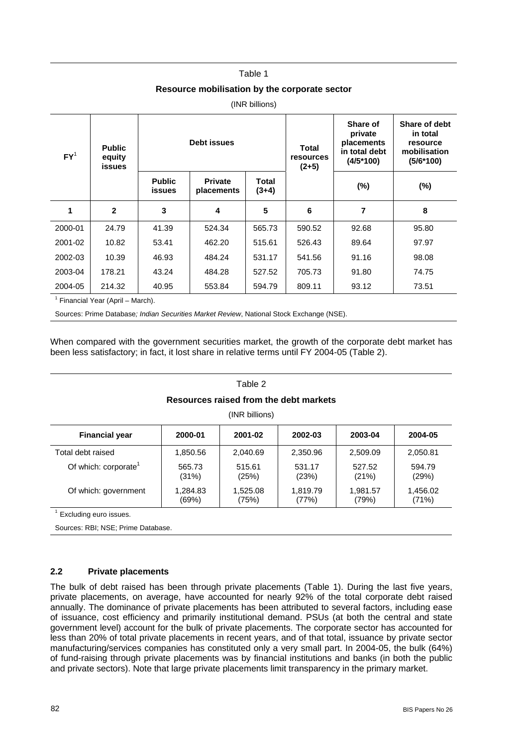#### Table 1

#### **Resource mobilisation by the corporate sector**

(INR billions)

| $FY^1$  | <b>Public</b><br>equity<br><b>issues</b> |                                | Debt issues                  |                  | Total<br>resources<br>$(2+5)$ | Share of<br>private<br>placements<br>in total debt<br>$(4/5*100)$ | Share of debt<br>in total<br>resource<br>mobilisation<br>$(5/6*100)$ |
|---------|------------------------------------------|--------------------------------|------------------------------|------------------|-------------------------------|-------------------------------------------------------------------|----------------------------------------------------------------------|
|         |                                          | <b>Public</b><br><b>issues</b> | <b>Private</b><br>placements | Total<br>$(3+4)$ |                               | $(\%)$                                                            | $(\%)$                                                               |
| 1       | $\overline{2}$                           | 3                              | 4                            | 5                | 6                             | 7                                                                 | 8                                                                    |
| 2000-01 | 24.79                                    | 41.39                          | 524.34                       | 565.73           | 590.52                        | 92.68                                                             | 95.80                                                                |
| 2001-02 | 10.82                                    | 53.41                          | 462.20                       | 515.61           | 526.43                        | 89.64                                                             | 97.97                                                                |
| 2002-03 | 10.39                                    | 46.93                          | 484.24                       | 531.17           | 541.56                        | 91.16                                                             | 98.08                                                                |
| 2003-04 | 178.21                                   | 43.24                          | 484.28                       | 527.52           | 705.73                        | 91.80                                                             | 74.75                                                                |
| 2004-05 | 214.32                                   | 40.95                          | 553.84                       | 594.79           | 809.11                        | 93.12                                                             | 73.51                                                                |

<sup>1</sup> Financial Year (April – March).

Sources: Prime Database*; Indian Securities Market Review*, National Stock Exchange (NSE).

When compared with the government securities market, the growth of the corporate debt market has been less satisfactory; in fact, it lost share in relative terms until FY 2004-05 (Table 2).

|                                        |                   | Table 2           |                   |                   |                   |  |
|----------------------------------------|-------------------|-------------------|-------------------|-------------------|-------------------|--|
| Resources raised from the debt markets |                   |                   |                   |                   |                   |  |
|                                        |                   | (INR billions)    |                   |                   |                   |  |
| <b>Financial year</b>                  | 2000-01           | 2001-02           | 2002-03           | 2003-04           | 2004-05           |  |
| Total debt raised                      | 1,850.56          | 2,040.69          | 2,350.96          | 2,509.09          | 2,050.81          |  |
| Of which: corporate <sup>1</sup>       | 565.73<br>(31%)   | 515.61<br>(25%)   | 531.17<br>(23%)   | 527.52<br>(21%)   | 594.79<br>(29%)   |  |
| Of which: government                   | 1,284.83<br>(69%) | 1,525.08<br>(75%) | 1,819.79<br>(77%) | 1,981.57<br>(79%) | 1,456.02<br>(71%) |  |
| Excluding euro issues.                 |                   |                   |                   |                   |                   |  |

Sources: RBI; NSE; Prime Database.

#### **2.2 Private placements**

The bulk of debt raised has been through private placements (Table 1). During the last five years, private placements, on average, have accounted for nearly 92% of the total corporate debt raised annually. The dominance of private placements has been attributed to several factors, including ease of issuance, cost efficiency and primarily institutional demand. PSUs (at both the central and state government level) account for the bulk of private placements. The corporate sector has accounted for less than 20% of total private placements in recent years, and of that total, issuance by private sector manufacturing/services companies has constituted only a very small part. In 2004-05, the bulk (64%) of fund-raising through private placements was by financial institutions and banks (in both the public and private sectors). Note that large private placements limit transparency in the primary market.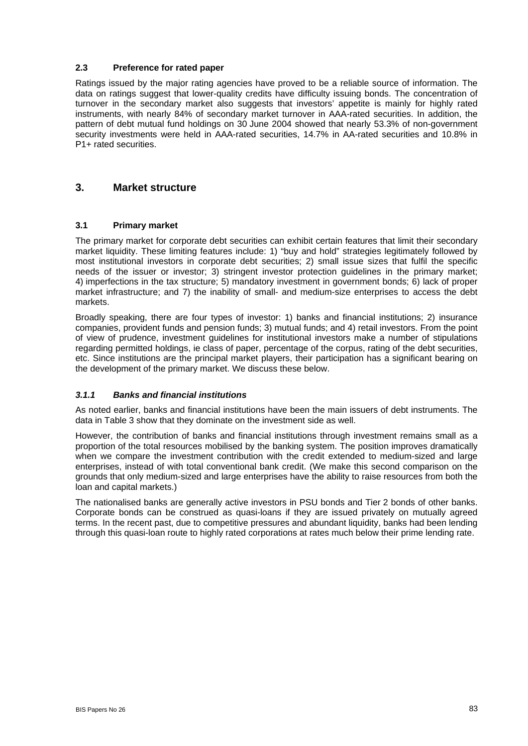#### **2.3 Preference for rated paper**

Ratings issued by the major rating agencies have proved to be a reliable source of information. The data on ratings suggest that lower-quality credits have difficulty issuing bonds. The concentration of turnover in the secondary market also suggests that investors' appetite is mainly for highly rated instruments, with nearly 84% of secondary market turnover in AAA-rated securities. In addition, the pattern of debt mutual fund holdings on 30 June 2004 showed that nearly 53.3% of non-government security investments were held in AAA-rated securities, 14.7% in AA-rated securities and 10.8% in P1+ rated securities.

#### **3. Market structure**

#### **3.1 Primary market**

The primary market for corporate debt securities can exhibit certain features that limit their secondary market liquidity. These limiting features include: 1) "buy and hold" strategies legitimately followed by most institutional investors in corporate debt securities; 2) small issue sizes that fulfil the specific needs of the issuer or investor; 3) stringent investor protection guidelines in the primary market; 4) imperfections in the tax structure; 5) mandatory investment in government bonds; 6) lack of proper market infrastructure; and 7) the inability of small- and medium-size enterprises to access the debt markets.

Broadly speaking, there are four types of investor: 1) banks and financial institutions; 2) insurance companies, provident funds and pension funds; 3) mutual funds; and 4) retail investors. From the point of view of prudence, investment guidelines for institutional investors make a number of stipulations regarding permitted holdings, ie class of paper, percentage of the corpus, rating of the debt securities, etc. Since institutions are the principal market players, their participation has a significant bearing on the development of the primary market. We discuss these below.

#### *3.1.1 Banks and financial institutions*

As noted earlier, banks and financial institutions have been the main issuers of debt instruments. The data in Table 3 show that they dominate on the investment side as well.

However, the contribution of banks and financial institutions through investment remains small as a proportion of the total resources mobilised by the banking system. The position improves dramatically when we compare the investment contribution with the credit extended to medium-sized and large enterprises, instead of with total conventional bank credit. (We make this second comparison on the grounds that only medium-sized and large enterprises have the ability to raise resources from both the loan and capital markets.)

The nationalised banks are generally active investors in PSU bonds and Tier 2 bonds of other banks. Corporate bonds can be construed as quasi-loans if they are issued privately on mutually agreed terms. In the recent past, due to competitive pressures and abundant liquidity, banks had been lending through this quasi-loan route to highly rated corporations at rates much below their prime lending rate.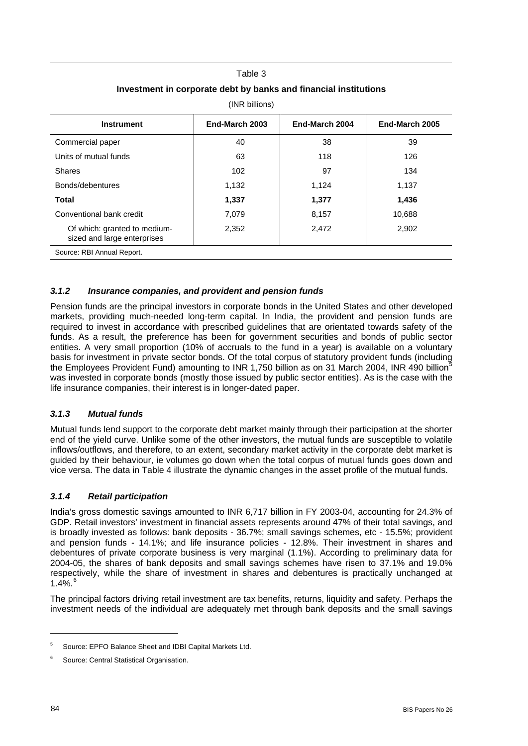#### Table 3

#### **Investment in corporate debt by banks and financial institutions**  (INR billions)

|                                                             | ,  . <i></i>   |                |                |
|-------------------------------------------------------------|----------------|----------------|----------------|
| <b>Instrument</b>                                           | End-March 2003 | End-March 2004 | End-March 2005 |
| Commercial paper                                            | 40             | 38             | 39             |
| Units of mutual funds                                       | 63             | 118            | 126            |
| <b>Shares</b>                                               | 102            | 97             | 134            |
| Bonds/debentures                                            | 1,132          | 1,124          | 1,137          |
| <b>Total</b>                                                | 1,337          | 1,377          | 1,436          |
| Conventional bank credit                                    | 7,079          | 8,157          | 10,688         |
| Of which: granted to medium-<br>sized and large enterprises | 2,352          | 2,472          | 2,902          |
| Source: RBI Annual Report.                                  |                |                |                |

## *3.1.2 Insurance companies, and provident and pension funds*

Pension funds are the principal investors in corporate bonds in the United States and other developed markets, providing much-needed long-term capital. In India, the provident and pension funds are required to invest in accordance with prescribed guidelines that are orientated towards safety of the funds. As a result, the preference has been for government securities and bonds of public sector entities. A very small proportion (10% of accruals to the fund in a year) is available on a voluntary basis for investment in private sector bonds. Of the total corpus of statutory provident funds (including the Employees Provident Fund) amounting to INR 1,7[5](#page-4-0)0 billion as on 31 March 2004, INR 490 billion<sup>3</sup> was invested in corporate bonds (mostly those issued by public sector entities). As is the case with the life insurance companies, their interest is in longer-dated paper.

#### *3.1.3 Mutual funds*

Mutual funds lend support to the corporate debt market mainly through their participation at the shorter end of the yield curve. Unlike some of the other investors, the mutual funds are susceptible to volatile inflows/outflows, and therefore, to an extent, secondary market activity in the corporate debt market is guided by their behaviour, ie volumes go down when the total corpus of mutual funds goes down and vice versa. The data in Table 4 illustrate the dynamic changes in the asset profile of the mutual funds.

#### *3.1.4 Retail participation*

India's gross domestic savings amounted to INR 6,717 billion in FY 2003-04, accounting for 24.3% of GDP. Retail investors' investment in financial assets represents around 47% of their total savings, and is broadly invested as follows: bank deposits - 36.7%; small savings schemes, etc - 15.5%; provident and pension funds - 14.1%; and life insurance policies - 12.8%. Their investment in shares and debentures of private corporate business is very marginal (1.1%). According to preliminary data for 2004-05, the shares of bank deposits and small savings schemes have risen to 37.1% and 19.0% respectively, while the share of investment in shares and debentures is practically unchanged at  $1.4\%$ . $^{6}$  $^{6}$  $^{6}$ 

The principal factors driving retail investment are tax benefits, returns, liquidity and safety. Perhaps the investment needs of the individual are adequately met through bank deposits and the small savings

l

<span id="page-4-0"></span><sup>5</sup> Source: EPFO Balance Sheet and IDBI Capital Markets Ltd.

<span id="page-4-1"></span><sup>6</sup> Source: Central Statistical Organisation.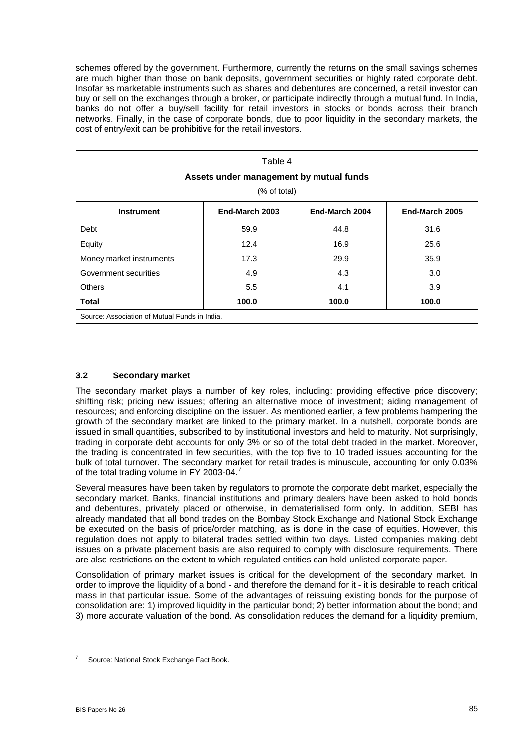schemes offered by the government. Furthermore, currently the returns on the small savings schemes are much higher than those on bank deposits, government securities or highly rated corporate debt. Insofar as marketable instruments such as shares and debentures are concerned, a retail investor can buy or sell on the exchanges through a broker, or participate indirectly through a mutual fund. In India, banks do not offer a buy/sell facility for retail investors in stocks or bonds across their branch networks. Finally, in the case of corporate bonds, due to poor liquidity in the secondary markets, the cost of entry/exit can be prohibitive for the retail investors.

Table 4

| Assets under management by mutual funds       |                |                |                |  |  |
|-----------------------------------------------|----------------|----------------|----------------|--|--|
|                                               | (% of total)   |                |                |  |  |
| <b>Instrument</b>                             | End-March 2003 | End-March 2004 | End-March 2005 |  |  |
| Debt                                          | 59.9           | 44.8           | 31.6           |  |  |
| Equity                                        | 12.4           | 16.9           | 25.6           |  |  |
| Money market instruments                      | 17.3           | 29.9           | 35.9           |  |  |
| Government securities                         | 4.9            | 4.3            | 3.0            |  |  |
| <b>Others</b>                                 | 5.5            | 4.1            | 3.9            |  |  |
| Total                                         | 100.0          | 100.0          | 100.0          |  |  |
| Source: Association of Mutual Funds in India. |                |                |                |  |  |

#### **3.2 Secondary market**

The secondary market plays a number of key roles, including: providing effective price discovery; shifting risk; pricing new issues; offering an alternative mode of investment; aiding management of resources; and enforcing discipline on the issuer. As mentioned earlier, a few problems hampering the growth of the secondary market are linked to the primary market. In a nutshell, corporate bonds are issued in small quantities, subscribed to by institutional investors and held to maturity. Not surprisingly, trading in corporate debt accounts for only 3% or so of the total debt traded in the market. Moreover, the trading is concentrated in few securities, with the top five to 10 traded issues accounting for the bulk of total turnover. The secondary market for retail trades is minuscule, accounting for only 0.03% of the total trading volume in FY 2003-04.<sup>[7](#page-5-0)</sup>

Several measures have been taken by regulators to promote the corporate debt market, especially the secondary market. Banks, financial institutions and primary dealers have been asked to hold bonds and debentures, privately placed or otherwise, in dematerialised form only. In addition, SEBI has already mandated that all bond trades on the Bombay Stock Exchange and National Stock Exchange be executed on the basis of price/order matching, as is done in the case of equities. However, this regulation does not apply to bilateral trades settled within two days. Listed companies making debt issues on a private placement basis are also required to comply with disclosure requirements. There are also restrictions on the extent to which regulated entities can hold unlisted corporate paper.

Consolidation of primary market issues is critical for the development of the secondary market. In order to improve the liquidity of a bond - and therefore the demand for it - it is desirable to reach critical mass in that particular issue. Some of the advantages of reissuing existing bonds for the purpose of consolidation are: 1) improved liquidity in the particular bond; 2) better information about the bond; and 3) more accurate valuation of the bond. As consolidation reduces the demand for a liquidity premium,

-

<span id="page-5-0"></span><sup>7</sup> Source: National Stock Exchange Fact Book.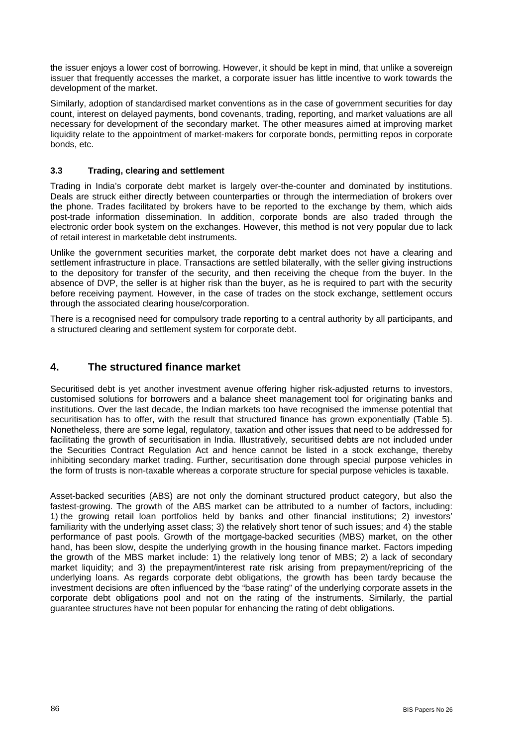the issuer enjoys a lower cost of borrowing. However, it should be kept in mind, that unlike a sovereign issuer that frequently accesses the market, a corporate issuer has little incentive to work towards the development of the market.

Similarly, adoption of standardised market conventions as in the case of government securities for day count, interest on delayed payments, bond covenants, trading, reporting, and market valuations are all necessary for development of the secondary market. The other measures aimed at improving market liquidity relate to the appointment of market-makers for corporate bonds, permitting repos in corporate bonds, etc.

#### **3.3 Trading, clearing and settlement**

Trading in India's corporate debt market is largely over-the-counter and dominated by institutions. Deals are struck either directly between counterparties or through the intermediation of brokers over the phone. Trades facilitated by brokers have to be reported to the exchange by them, which aids post-trade information dissemination. In addition, corporate bonds are also traded through the electronic order book system on the exchanges. However, this method is not very popular due to lack of retail interest in marketable debt instruments.

Unlike the government securities market, the corporate debt market does not have a clearing and settlement infrastructure in place. Transactions are settled bilaterally, with the seller giving instructions to the depository for transfer of the security, and then receiving the cheque from the buyer. In the absence of DVP, the seller is at higher risk than the buyer, as he is required to part with the security before receiving payment. However, in the case of trades on the stock exchange, settlement occurs through the associated clearing house/corporation.

There is a recognised need for compulsory trade reporting to a central authority by all participants, and a structured clearing and settlement system for corporate debt.

### **4. The structured finance market**

Securitised debt is yet another investment avenue offering higher risk-adjusted returns to investors, customised solutions for borrowers and a balance sheet management tool for originating banks and institutions. Over the last decade, the Indian markets too have recognised the immense potential that securitisation has to offer, with the result that structured finance has grown exponentially (Table 5). Nonetheless, there are some legal, regulatory, taxation and other issues that need to be addressed for facilitating the growth of securitisation in India. Illustratively, securitised debts are not included under the Securities Contract Regulation Act and hence cannot be listed in a stock exchange, thereby inhibiting secondary market trading. Further, securitisation done through special purpose vehicles in the form of trusts is non-taxable whereas a corporate structure for special purpose vehicles is taxable.

Asset-backed securities (ABS) are not only the dominant structured product category, but also the fastest-growing. The growth of the ABS market can be attributed to a number of factors, including: 1) the growing retail loan portfolios held by banks and other financial institutions; 2) investors' familiarity with the underlying asset class; 3) the relatively short tenor of such issues; and 4) the stable performance of past pools. Growth of the mortgage-backed securities (MBS) market, on the other hand, has been slow, despite the underlying growth in the housing finance market. Factors impeding the growth of the MBS market include: 1) the relatively long tenor of MBS; 2) a lack of secondary market liquidity; and 3) the prepayment/interest rate risk arising from prepayment/repricing of the underlying loans. As regards corporate debt obligations, the growth has been tardy because the investment decisions are often influenced by the "base rating" of the underlying corporate assets in the corporate debt obligations pool and not on the rating of the instruments. Similarly, the partial guarantee structures have not been popular for enhancing the rating of debt obligations.